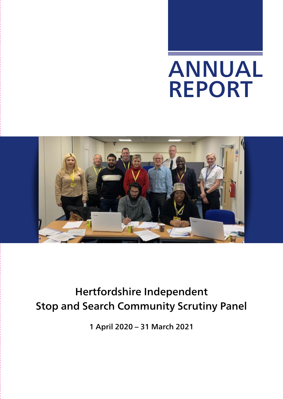# ANNUAL REPORT



## Hertfordshire Independent Stop and Search Community Scrutiny Panel

1 April 2020 – 31 March 2021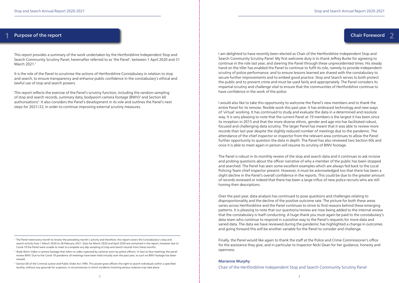#### Purpose of the report **1** Purpose of the report Chair Foreword 2

This report provides a summary of the work undertaken by the Hertfordshire Independent Stop and Search Community Scrutiny Panel, hereinafter referred to as 'the Panel', between 1 April 2020 and 31 March 2021.<sup>1</sup>

It is the role of the Panel to scrutinise the actions of Hertfordshire Constabulary in relation to stop and search, to ensure transparency and enhance public confidence in the constabulary's ethical and lawful use of stop and search powers.

This report reflects the exercise of the Panel's scrutiny function, including the random sampling of stop and search records, summary data, bodyworn camera footage (BWV)<sup>2</sup> and Section 60 authorisations<sup>3</sup>. It also considers the Panel's development in its role and outlines the Panel's next steps for 2021/22, in order to continue improving external scrutiny measures.

I am delighted to have recently been elected as Chair of the Hertfordshire Independent Stop and Search Community Scrutiny Panel. My first welcome duty is to thank Jeffrey Burke for agreeing to continue in the role last year, and steering the Panel through these unprecedented times. His steady hand on the tiller has enabled the Panel to continue to fulfil its role, namely to provide independent scrutiny of police performance, and to ensure lessons learned are shared with the constabulary to secure further improvements and to embed good practice. Stop and Search serves to both protect the public and to prevent crime and must be used fairly and appropriately. The Panel considers its impartial scrutiny and challenge vital to ensure that the communities of Hertfordshire continue to have confidence in the work of the police.

I would also like to take this opportunity to welcome the Panel's new members and to thank the entire Panel for its remote, flexible work this past year. It has embraced technology and new ways of 'virtual' working. It has continued to study and evaluate the data in a determined and resolute way. It is very pleasing to note that the current Panel at 19 members is the largest it has been since its inception in 2015 and that the more diverse ethnic, gender and age mix has facilitated robust, focused and challenging data scrutiny. The larger Panel has meant that it was able to review more records than last year despite the slightly reduced number of meetings due to the pandemic. The attendance of the chief inspector or inspector from the relevant area continues to allow the Panel further opportunity to question the data in depth. The Panel has also reviewed two Section 60s and once it is able to meet again in person will resume its scrutiny of BWV footage.

<sup>2</sup> Body Worn Video is camera footage that refers to video captured by cameras worn by police officers. In face to face meetings the panel review BWV. Due to the Covid-19 pandemic all meetings have been held virtually over the past year; as such no BWV footage has been viewed.

<sup>3</sup> Section 60 of the Criminal Justice and Public Order Act 1994. This power gives officers the right to search individuals within a specified locality, without any grounds for suspicion, in circumstances in which incidents involving serious violence may take place.

The Panel is robust in its monthly review of the stop and search data and it continues to ask incisive and probing questions about the officer narrative of why a member of the public has been stopped and searched. The Panel has seen some excellent examples which are always fed back to the Local Policing Team chief inspector present. However, it must be acknowledged too that there has been a slight decline in the Panel's overall confidence in the reports. This could be due to the greater amount of records reviewed or indeed that there has been a large influx of new police recruits who are still honing their descriptions.

Over the past year, data analysis has continued to pose questions and challenges relating to disproportionality and the decline of the positive outcome rate. The picture for both these areas varies across Hertfordshire and the Panel continues to strive to find reasons behind these emerging patterns. It is pleasing to note that our questions/review are now being added to the internal review that the constabulary is itself conducting. A huge thank you must again be paid to the constabulary's data team who continue to respond in a positive way to the Panel's requests for more data and varied data. The data we have reviewed during the pandemic has highlighted a change in outcomes and going forward this will be another variable for the Panel to consider and challenge.

Finally, the Panel would like again to thank the staff at the Police and Crime Commissioner's office for the assistance they give, and in particular to Inspector Nicki Dean for her guidance, honesty and openness.

#### Marianne Murphy

Chair of the Hertfordshire Independent Stop and Search Community Scrutiny Panel

<sup>1</sup> The Panel meet every month to review the preceding month's activity and therefore, this report covers the Constabulary's stop and search activity from 1 March 2020 to 28 February 2021. Data for March 2020 and April 2020 are contained in the report, however due to Covid-19 the Panel were unable to meet to complete any dip sampling of stop and search records from these months.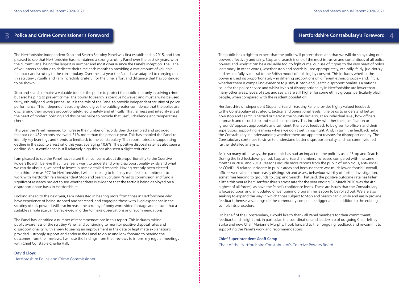#### Police and Crime Commissioner's Foreword 3 Police and Crime Commissioner's Foreword **1996 and Crime Constabulary's Foreword** Allen Accounts and Crime Constabulary's Foreword Allen Accounts and Crime Constabulary's Foreword Allen Accounts and Crime Constabulary's

The Hertfordshire Independent Stop and Search Scrutiny Panel was first established in 2015, and I am pleased to see that Hertfordshire has maintained a strong scrutiny Panel over the past six years, with the current Panel being the largest in number and most diverse since the Panel's inception. The Panel of volunteers continue to dedicate their time each month to providing a vast amount of valuable feedback and scrutiny to the constabulary. Over the last year the Panel have adapted to carrying out this scrutiny virtually and I am incredibly grateful for the time, effort and diligence that has continued to be shown.

Stop and search remains a valuable tool for the police to protect the public, not only in solving crime but also helping to prevent crime. The power to search is coercive however, and must always be used fairly, ethically and with just cause. It is the role of the Panel to provide independent scrutiny of police performance. This independent scrutiny should give the public greater confidence that the police are discharging their powers proportionately, legitimately and ethically. That fairness and integrity sits at the heart of modern policing and this panel helps to provide that useful challenge and temperature check.

This year the Panel managed to increase the number of records they dip sampled and provided feedback on 432 records reviewed, 31% more than the previous year. This has enabled the Panel to identify key learnings and trends to feedback to the constabulary. The report notes a disappointing decline in the stop to arrest ratio this year, averaging 10.6%. The positive disposal rate has also seen a decline. Whilst confidence is still relatively high this has also seen a slight reduction.

I am pleased to see the Panel have raised their concerns about disproportionality to the Coercive Powers Board. I believe that if we really want to understand why disproportionality exists and what we can do about it, we need to invest in some detailed research. Having recently been elected for a third term as PCC for Hertfordshire, I will be looking to fulfil my manifesto commitment to work with Hertfordshire's Independent Stop and Search Scrutiny Panel to commission and fund a significant research project to see whether there is evidence that the tactic is being deployed on a disproportionate basis in Hertfordshire.

Looking ahead to the next year, I am interested in hearing more from those in Hertfordshire who have experience of being stopped and searched, and engaging those with lived experience in the scrutiny of this power. I will also increase the scrutiny of body worn video footage and ensure that a suitable sample size can be reviewed in order to make observations and recommendations.

The Panel has identified a number of recommendations in this report. This includes raising public awareness of the scrutiny Panel, and continuing to monitor positive disposal rates and disproportionality, with a view to seeing an improvement in the data or legitimate explanations provided. I strongly support and endorse the Panel to do so and look forward to hearing the outcomes from their reviews. I will use the findings from their reviews to inform my regular meetings with Chief Constable Charlie Hall.

David Lloyd Hertfordshire Police and Crime Commissioner The public has a right to expect that the police will protect them and that we will do so by using our powers effectively and fairly. Stop and search is one of the most intrusive and contentious of all police powers and whilst it can be a valuable tool to fight crime, our use of it goes to the very heart of police legitimacy. In other words, whether stop and search is used appropriately, ethically, fairly, judiciously and respectfully is central to the British model of policing by consent. This includes whether the power is used disproportionately – in differing proportions on different ethnic groups – and, if it is, whether there is compelling evidence to justify it. Stop and Search disproportionality is a national issue for the police service and whilst levels of disproportionality in Hertfordshire are lower than many other areas, levels of stop and search are still higher for some ethnic groups, particularly black people, when compared with the resident population.

Hertfordshire's Independent Stop and Search Scrutiny Panel provides highly valued feedback to the Constabulary at strategic, tactical and operational levels. It helps us to understand better how stop and search is carried out across the county but also, at an individual level, how officers approach and record stop and search encounters. This includes whether their justification or 'grounds' appears appropriate and sufficient. It enables feedback to be given to officers and their supervisors, supporting learning where we don't get things right. And, in turn, the feedback helps the Constabulary in understanding whether there are apparent reasons for disproportionality. The Constabulary continues to strive to understand better disproportionality, and has commissioned further detailed analysis.

As in so many other ways, the pandemic has had an impact on the police's use of Stop and Search. During the first lockdown period, Stop and Search numbers increased compared with the same months in 2018 and 2019. Reasons include more reports from the public of suspicious, anti-social or COVID-19 related incidents in public areas and because there was much lower 'footfall' overall, officers were able to more easily distinguish and assess behaviour worthy of further investigation, sometimes leading to grounds to Stop and Search. That said, the positive outcome rate has fallen a little this year (albeit Hertfordshire's arrest rate for the year ending 31 March 2020 was the 4th highest of all forces), as have the Panel's confidence levels. These are issues that the Constabulary is focused upon and an updated officer training programme is soon to be rolled out. We are also seeking to expand the way in which those subject to Stop and Search can quickly and easily provide feedback themselves, alongside the community complaints trigger and in addition to the existing complaints procedure.

On behalf of the Constabulary, I would like to thank all Panel members for their commitment, feedback and insight and, in particular, the coordination and leadership of outgoing Chair Jeffrey Burke and new Chair Marianne Murphy. I look forward to their ongoing feedback and re-commit to supporting the Panel's work and recommendations.

#### Chief Superintendent Geoff Camp

Chair of the Hertfordshire Constabulary's Coercive Powers Board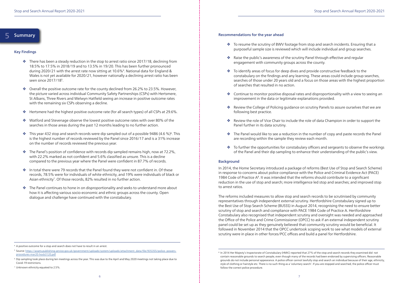#### Key Findings

- $\cdot$  There has been a steady reduction in the stop to arrest ratio since 2017/18, declining from 18.5% to 17.5% in 2018/19 and to 13.5% in 19/20. This has been further pronounced during 2020/21 with the arrest rate now sitting at 10.6%4. National data for England & Wales is not yet available for 2020/21, however nationally a declining arrest ratio has been seen since 2017/185.
- $\bullet$  Overall the positive outcome rate for the county declined from 26.2% to 23.5%. However, the picture varied across individual Community Safety Partnerships (CSPs) with Hertsmere, St Albans, Three Rivers and Welwyn Hatfield seeing an increase in positive outcome rates with the remaining six CSPs observing a decline.
- v Hertsmere had the highest positive outcome rate (for all search types) of all CSPs at 29.6%.
- $\cdot$  Watford and Stevenage observe the lowest positive outcome rates with over 80% of the searches in those areas during the past 12 months leading to no further action.
- $\bullet$  This year 432 stop and search records were dip sampled out of a possible 9486 (4.6 %)<sup>6</sup>. This is the highest number of records reviewed by the Panel since 2016/17 and is a 31% increase on the number of records reviewed the previous year.
- $\cdot$  The Panel's position of confidence with records dip sampled remains high, now at 72.2%, with 22.2% marked as not confident and 5.6% classified as unsure. This is a decline compared to the previous year where the Panel were confident in 87.7% of records.
- $\cdot$  In total there were 79 records that the Panel found they were not confident in. Of these records, 78.5% were for individuals of white ethnicity, and 19% were individuals of black or Asian ethnicity<sup>7</sup>. Of those records, 82% resulted in no further action.
- $\bullet$  The Panel continues to hone in on disproportionality and seeks to understand more about how it is affecting various socio-economic and ethnic groups across the county. Open dialogue and challenge have continued with the constabulary.

#### Summary 5

<sup>8</sup> In 2014 Her Majesty's Inspectorate of Constabulary (HMIC) reported that 27% of the stop and search records they examined did not grounds do not include personal appearance. A police officer cannot lawfully stop and search an individual because of their age, ethnicity,

\* To resume the scrutiny of BWV footage from stop and search incidents. Ensuring that a purposeful sample size is reviewed which will include individual and group searches.

\* To identify areas of focus for deep dives and provide constructive feedback to the constabulary on the findings and any learning. These areas could include group searches, searches of those under 20 years old and a focus on those areas with the highest proportion

• Continue to monitor positive disposal rates and disproportionality with a view to seeing an

\* Review the College of Policing guidance on scrutiny Panels to assure ourselves that we are

Review the role of Vice Chair to include the role of data Champion in order to support the

 $\bullet$  The Panel would like to see a reduction in the number of copy and paste records the Panel

- 
- \* Raise the public's awareness of the scrutiny Panel through effective and regular engagement with community groups across the county.
- of searches that resulted in no action.
- improvement in the data or legitimate explanations provided.
- following best practice.
- Panel further in its data scrutiny.
- are recording within the sample they review each month.
- 

 $\bullet$  To further the opportunities for constabulary officers and sergeants to observe the workings of the Panel and their dip sampling to enhance their understanding of the public's view.

#### Recommendations for the year ahead

#### Background

In 2014, the Home Secretary introduced a package of reforms (Best Use of Stop and Search Scheme) in response to concerns about police compliance with the Police and Criminal Evidence Act (PACE) 1984 Code of Practice  $A^8$ . It was intended that the reforms should contribute to a significant reduction in the use of stop and search; more intelligence led stop and searches; and improved stop to arrest ratios.

The reforms included measures to allow stop and search records to be scrutinised by community representatives through independent external scrutiny. Hertfordshire Constabulary signed up to the Best Use of Stop Search Scheme (BUSSS) in August 2014, recognising the need to ensure better scrutiny of stop and search and compliance with PACE 1984 Code of Practice A. Hertfordshire Constabulary also recognised that independent scrutiny and oversight was needed and approached the Office of the Police and Crime Commissioner (OPCC) to ask if an external independent scrutiny panel could be set up as they genuinely believed that community scrutiny would be beneficial. It followed in November 2014 that the OPCC undertook scoping work to see what models of external scrutiny were in place in other forces/PCC offices and build a panel for Hertfordshire.

<sup>&</sup>lt;sup>4</sup> A positive outcome for a stop and search does not have to result in an arrest.

<sup>5</sup> Source: https://assets.publishing.service.gov.uk/government/uploads/system/uploads/attachment\_data/file/935355/police- powersprocedures-mar20-hosb3120.pdf

<sup>6</sup> Dip sampling took place during ten meetings across the year. This was due to the April and May 2020 meetings not taking place due to Covid-19 restrictions.

<sup>7</sup> Unknown ethnicity equated to 2.5%.

contain reasonable grounds to search people, even though many of the records had been endorsed by supervising officers. Reasonable style of clothing or hairstyle etc. There is no such thing as a 'voluntary search'. If you are stopped and searched, the police officer must follow the correct police procedure.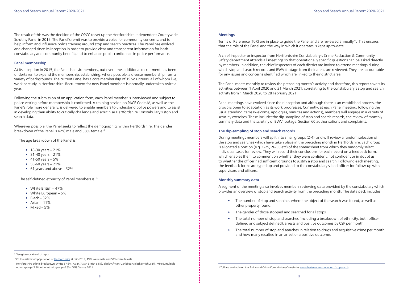#### Meetings

Terms of Reference (ToR) are in place to guide the Panel and are reviewed annually<sup>12</sup>. This ensures that the role of the Panel and the way in which it operates is kept up-to-date.

A chief inspector or inspector from Hertfordshire Constabulary's Crime Reduction & Community Safety department attends all meetings so that operationally specific questions can be asked directly by members. In addition, the chief inspectors of each district are invited to attend meetings during which stop and search records and BWV footage from their areas are reviewed. They are accountable for any issues and concerns identified which are linked to their district area.

The Panel meets monthly to review the preceding month's activity and therefore, this report covers its activities between 1 April 2020 and 31 March 2021, correlating to the constabulary's stop and search activity from 1 March 2020 to 28 February 2021.

Panel meetings have evolved since their inception and although there is an established process, the group is open to adaptation as its work progresses. Currently, at each Panel meeting, following the usual standing items (welcome, apologies, minutes and actions), members will engage in a variety of scrutiny exercises. These include; the dip-sampling of stop and search records, the review of monthly summary data and the scrutiny of BWV footage, Section 60 authorisations and complaints.

#### The dip-sampling of stop and search records

During meetings members will split into small groups (2-4), and will review a random selection of the stop and searches which have taken place in the preceding month in Hertfordshire. Each group is allocated a portion (e.g. 1-25, 26-50 etc) of the spreadsheet from which they randomly select individual cases for review. They will record their conclusions for each record on a feedback form, which enables them to comment on whether they were confident, not confident or in doubt as to whether the officer had sufficient grounds to justify a stop and search. Following each meeting, the feedback forms are typed up and provided to the constabulary's lead officer for follow-up with supervisors and officers.

Wherever possible, the Panel seeks to reflect the demographics within Hertfordshire. The gender breakdown of the Panel is 42% male and 58% female<sup>10</sup>.

#### Monthly summary data

- $18-30$  years  $-21%$
- $31-40$  years  $-21%$
- 41-50 years  $-5%$
- $50 60$  years  $-21%$
- 61 years and above 32%

The self-defined ethnicity of Panel members is<sup>11</sup>;

- White British  $-47\%$
- White European 5%
- $\bullet$  Black 32%
- Asian  $11\%$
- Mixed  $-5%$

<sup>9</sup> See glossary at end of report

A segment of the meeting also involves members reviewing data provided by the constabulary which provides an overview of stop and search activity from the preceding month. The data pack includes:

11Hertfordshire ethnic breakdown: White 87.6%, Asian/Asian British 6.5%, Black/African/Caribbean/Black British 2.8%, Mixed/multiple ethnic groups 2.5&, other ethnic groups 0.6%; ONS Census 2011 **12ToR** are available on the Police and Crime Commissioner's website: www.hertscommissioner.org/stopsearch

• The number of stop and searches where the object of the search was found, as well as

• The total number of stop and searches (including a breakdown of ethnicity, both officer

- other property found.
- The gender of those stopped and searched for all stops.
- defined and subject defined), arrests and positive outcomes by CSP per month.
- and how many resulted in an arrest or a positive outcome.

• The total number of stop and searches in relation to drugs and acquisitive crime per month

The result of this was the decision of the OPCC to set up the Hertfordshire Independent Countywide Scrutiny Panel in 2015. The Panel's remit was to provide a voice for community concerns; and to help inform and influence police training around stop and search practices. The Panel has evolved and changed since its inception in order to provide clear and transparent information for both constabulary and community benefit; and to enhance public confidence in police performance.

#### Panel membership

At its inception in 2015, the Panel had six members, but over time, additional recruitment has been undertaken to expand the membership, establishing, where possible, a diverse membership from a variety of backgrounds. The current Panel has a core membership of 19 volunteers, all of whom live, work or study in Hertfordshire. Recruitment for new Panel members is normally undertaken twice a year.

Following the submission of an application form, each Panel member is interviewed and subject to police vetting before membership is confirmed. A training session on PACE Code  $A^9$ , as well as the Panel's role more generally, is delivered to enable members to understand police powers and to assist in developing their ability to critically challenge and scrutinise Hertfordshire Constabulary's stop and search data.

The age breakdown of the Panel is;

<sup>&</sup>lt;sup>10</sup>Of the estimated population of Hertfordshire at mid-2019, 49% were male and 51% were female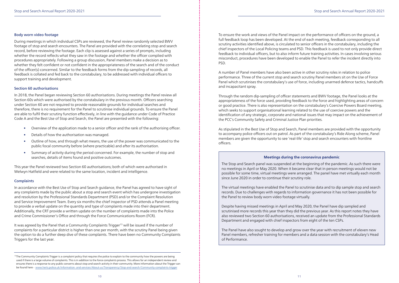#### Body worn video footage

During meetings in which individual CSPs are reviewed, the Panel review randomly selected BWV footage of stop and search encounters. The Panel are provided with the correlating stop and search record, before reviewing the footage. Each clip is assessed against a series of prompts, including whether the record reflects what they saw in the footage and whether the officer complied with procedures appropriately. Following a group discussion, Panel members make a decision as to whether they felt confident or not confident in the appropriateness of the search and of the conduct of the officer(s) concerned. Similar to the feedback forms from the dip-sampling of records, all feedback is collated and fed back to the constabulary, to be addressed with individual officers to support training and development.

#### Section 60 authorisations

In 2018, the Panel began reviewing Section 60 authorisations. During meetings the Panel review all Section 60s which were authorised by the constabulary in the previous month. Officers searching under Section 60 are not required to provide reasonable grounds for individual searches and therefore, there is no requirement for the Panel to scrutinise individual grounds. To ensure the Panel are able to fulfil their scrutiny function effectively, in line with the guidance under Code of Practice Code A and the Best Use of Stop and Search, the Panel are presented with the following:

It was agreed by the Panel that a Community Complaints Trigger<sup>13</sup> will be issued if the number of complaints for a particular district is higher than one per month, with the scrutiny Panel being given the option to do a further deep dive of these complaints. There have been no Community Complaints Triggers for the last year.

- Overview of the application made to a senior officer and the rank of the authorising officer.
- Details of how the authorisation was managed.
- Outline of how, and through what means, the use of the power was communicated to the public/local community before (where practicable) and after its authorisation.
- Summary of activity during the period concerned. For example, the number of stop and searches, details of items found and positive outcomes.

This year the Panel reviewed two Section 60 authorisations; both of which were authorised in Welwyn Hatfield and were related to the same location, incident and intelligence.

#### **Complaints**

In accordance with the Best Use of Stop and Search guidance, the Panel has agreed to have sight of any complaints made by the public about a stop and search event which has undergone investigation and resolution by the Professional Standards Department (PSD) and/or the Complaint Resolution and Service Improvement Team. Every six months the chief inspector of PSD attends a Panel meeting to provide a verbal update on the quantity and type of complaints made into their department. Additionally, the CRT provide a written update on the number of complaints made into the Police and Crime Commissioner's Office and through the Force Communications Room (FCR).

<sup>13</sup>The Community Complaints Trigger is a complaint policy that requires the police to explain to the community how the powers are being used if there is a large volume of complaints. This is in addition to the force complaints process. This allows for an independent review and ensures there is a response to any public concerns about stop and search activity in their community. More information about the Trigger can be found here - www.herts.police.uk/Information- and-services/About-us/Transparency/Stop-and-search/Community-complaints-trigger

To ensure the work and views of the Panel impact on the performance of officers on the ground, a full feedback loop has been developed. At the end of each meeting, feedback corresponding to all scrutiny activities identified above, is circulated to senior officers in the constabulary, including the chief inspectors of the Local Policing teams and PSD. This feedback is used to not only provide direct feedback to individual officers, but to also inform future training activities. In cases involving serious misconduct, procedures have been developed to enable the Panel to refer the incident directly into PSD.

A number of Panel members have also been active in other scrutiny roles in relation to police performance. Three of the current stop and search scrutiny Panel members sit on the Use of Force Panel which scrutinises the constabulary's use of force, including unarmed defence tactics, handcuffs and incapacitant spray.

Through the random dip-sampling of officer statements and BWV footage, the Panel looks at the appropriateness of the force used, providing feedback to the force and highlighting areas of concern or good practice. There is also representation on the constabulary's Coercive Powers Board meeting, which seeks to support organisational learning related to the use of coercive powers and the identification of any strategic, corporate and national issues that may impact on the achievement of the PCC's Community Safety and Criminal Justice Plan priorities.

As stipulated in the Best Use of Stop and Search, Panel members are provided with the opportunity to accompany police officers out on patrol. As part of the constabulary's Ride Along scheme, Panel members are given the opportunity to see 'real-life' stop and search encounters with frontline officers.

#### **Meetings during the coronavirus pandemic**

The Stop and Search panel was suspended at the beginning of the pandemic. As such there were no meetings in April or May 2020. When it became clear that in person meetings would not be possible for some time, virtual meetings were arranged. The panel have met virtually each month since June 2020 in order to continue their scrutiny role.

The virtual meetings have enabled the Panel to scrutinise data and to dip sample stop and search records. Due to challenges with regards to information governance it has not been possible for the Panel to review body worn video footage virtually.

Despite having missed meetings in April and May 2020, the Panel have dip sampled and scrutinised more records this year than they did the previous year. As this report notes they have also reviewed two Section 60 authorisations, received an update from the Professional Standards Department and engaged with chief inspectors from eight of the ten CSPs.

The Panel have also sought to develop and grow over the year with recruitment of eleven new Panel members, refresher training for members and a data session with the constabulary's Head of Performance.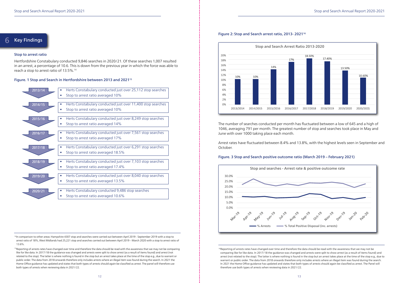

#### 6 Key Findings

<sup>14</sup>In comparison to other areas: Hampshire 4307 stop and searches were carried out between April 2019 - September 2019 with a stop to arrest ratio of 18%, West Midlands had 25,221 stop and searches carried out between April 2019 – March 2020 with a stop to arrest ratio of 13.6%.

#### Stop to arrest ratio

Hertfordshire Constabulary conducted 9,846 searches in 2020/21. Of these searches 1,007 resulted in an arrest, a percentage of 10.6. This is down from the previous year in which the force was able to reach a stop to arrest ratio of 13.5%.14

<sup>15</sup>Reporting of arrests rates have changed over time and therefore the data should be read with the awareness that we may not be comparing like for like data. In 2017/18 the guidance was changed and arrests were split to show arrest (as a result of items found) and arrest (not related to the stop). The latter is where nothing is found in the stop but an arrest takes place at the time of the stop e.g., due to warrant or public order. The data from 2018 onwards therefore only includes arrests where an illegal item was found during the search. In 2021 the Home Office guidance has updated and states that both types of arrests should again be classified as arrest. The panel will therefore use both types of arrests when reviewing data in 2021/22.

#### Figure. 1 Stop and Search in Hertfordshire between 2013 and 202115

<sup>16</sup>Reporting of arrests rates have changed over time and therefore the data should be read with the awareness that we may not be comparing like for like data. In 2017/18 the guidance was changed and arrests were split to show arrest (as a result of items found) and arrest (not related to the stop). The latter is where nothing is found in the stop but an arrest takes place at the time of the stop e.g., due to warrant or public order. The data from 2018 onwards therefore only includes arrests where an illegal item was found during the search. In 2021 the Home Office guidance has updated and states that both types of arrests should again be classified as arrest. The Panel will therefore use both types of arrests when reviewing data in 2021/22.

#### Figure 2: Stop and Search arrest ratio, 2013- 202116

The number of searches conducted per month has fluctuated between a low of 645 and a high of 1046, averaging 791 per month. The greatest number of stop and searches took place in May and June with over 1000 taking place each month.

Arrest rates have fluctuated between 8.4% and 13.8%, with the highest levels seen in September and October.

#### Figure. 3 Stop and Search positive outcome ratio (March 2019 – February 2021)



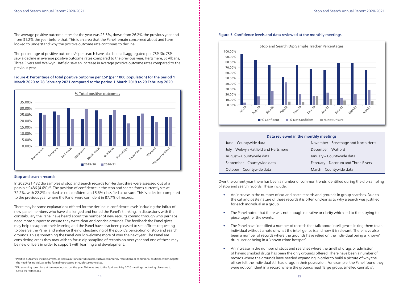| November - Stevenage and North Herts |  |  |
|--------------------------------------|--|--|
| December - Watford                   |  |  |
| January - Countywide data            |  |  |
| February – Dacorum and Three Rivers  |  |  |
| March – Countywide data              |  |  |

The average positive outcome rates for the year was 23.5%, down from 26.2% the previous year and from 31.2% the year before that. This is an area that the Panel remain concerned about and have looked to understand why the positive outcome rate continues to decline.

The percentage of positive outcomes<sup>17</sup> per search have also been disaggregated per CSP. Six CSPs saw a decline in average positive outcome rates compared to the previous year. Hertsmere, St Albans, Three Rivers and Welwyn Hatfield saw an increase in average positive outcome rates compared to the previous year.

#### Figure 4: Percentage of total positive outcome per CSP (per 1000 population) for the period 1 March 2020 to 28 February 2021 compared to the period 1 March 2019 to 29 February 2020

#### Stop and search records

In 2020/21 432 dip samples of stop and search records for Hertfordshire were assessed out of a possible 9486 (4.6%)18. The position of confidence in the stop and search forms currently sits at 72.2%, with 22.2% marked as not confident and 5.6% classified as unsure. This is a decline compared to the previous year where the Panel were confident in 87.7% of records.

There may be some explanations offered for the decline in confidence levels including the influx of new panel members who have challenged and honed the Panel's thinking. In discussions with the constabulary the Panel have heard about the number of new recruits coming through who perhaps need more support to ensure they write clear and concise grounds. The feedback the Panel gives may help to support their learning and the Panel have also been pleased to see officers requesting to observe the Panel and enhance their understanding of the public's perception of stop and search grounds. This is something the Panel would welcome more of over the next year. The Panel are considering areas they may wish to focus dip sampling of records on next year and one of these may be new officers in order to support with learning and development.



#### Figure 5: Confidence levels and data reviewed at the monthly meetings

Over the current year there has been a number of common trends identified during the dip-sampling of stop and search records. These include:

the cut and paste nature of these records it is often unclear as to why a search was justified

• The Panel have identified a number of records that talk about intelligence linking them to an individual without a note of what the intelligence is and how it is relevant. There have also been a number of records where the grounds have relied on the individual being a 'known'

- An increase in the number of cut and paste records and grounds in group searches. Due to for each individual in a group.
- The Panel noted that there was not enough narrative or clarity which led to them trying to piece together the events.
- drug user or being in a 'known crime hotspot'.
- were not confident in a record where the grounds read 'large group, smelled cannabis'.

• An increase in the number of stops and searches where the smell of drugs or admission of having smoked drugs has been the only grounds offered. There have been a number of records where the grounds have needed expanding in order to build a picture of why the officer felt the individual still had drugs in their possession. For example, the Panel found they



#### **Data reviewed in the monthly meetings**

| June - Countywide data               | November - Stevenage and North Herts |
|--------------------------------------|--------------------------------------|
| July - Welwyn Hatfield and Hertsmere | December - Watford                   |
| August - Countywide data             | January - Countywide data            |
| September - Countywide data          | February – Dacorum and Three Rivers  |
| October - Countywide data            | March - Countywide data              |

<sup>&</sup>lt;sup>17</sup>Positive outcomes, include arrests, as well as out of court disposals, such as community resolutions or conditional cautions, which negate the need for individuals to be formally processed through custody suites.

<sup>&</sup>lt;sup>18</sup>Dip sampling took place at ten meetings across the year. This was due to the April and May 2020 meetings not taking place due to Covid-19 restrictions.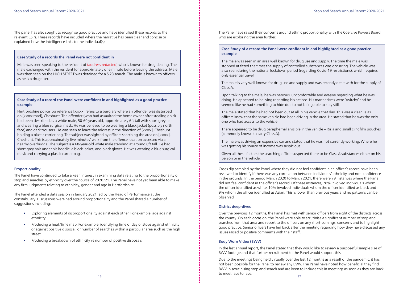The panel has also sought to recognise good practice and have identified these records to the relevant CSPs. These records have included where the narrative has been clear and concise or explained how the intelligence links to the individual(s).

#### Proportionality

The Panel have continued to take a keen interest in examining data relating to the proportionality of stop and searches by ethnicity over the course of 2020/21. The Panel have not yet been able to make any firm judgments relating to ethnicity, gender and age in Hertfordshire.

The Panel attended a data session in January 2021 led by the Head of Performance at the constabulary. Discussions were had around proportionality and the Panel shared a number of suggestions including:

- Exploring elements of disproportionality against each other. For example, age against ethnicity.
- Producing a heat/time map. For example, identifying time of day of stops against ethnicity or against positive disposal, or number of searches within a particular area such as the high street.
- Producing a breakdown of ethnicity vs number of positive disposals.

The Panel have raised their concerns around ethnic proportionality with the Coercive Powers Board who are exploring the area further.

16  $\overline{10}$  17 Due to the meetings being held virtually over the last 12 months as a result of the pandemic, it has not been possible for the Panel to review any BWV. The Panel have noted how beneficial they find BWV in scrutinising stop and search and are keen to include this in meetings as soon as they are back to meet face to face.

Cases dip sampled by the Panel where they did not feel confident in an officer's record have been reviewed to identify if there was any correlation between individuals' ethnicity and non-confidence in the grounds. In the period March 2020 to March 2021, there were 79 instances where the Panel did not feel confident in the officer's record. Of these instances, 78% involved individuals whom the officer identified as white, 10% involved individuals whom the officer identified as black and 9% whom the officer identified as Asian. This is lower than previous years and no patterns can be observed.

#### District deep-dives

Over the previous 12 months, the Panel has met with senior officers from eight of the districts across the county. On each occasion, the Panel were able to scrutinise a significant number of stop and searches from that area and report to the officers on any short-comings, concerns and to highlight good practice. Senior officers have fed back after the meeting regarding how they have discussed any issues raised or positive comments with their staff.

#### Body Worn Video (BWV)

In the last annual report, the Panel stated that they would like to review a purposeful sample size of BWV footage and that further recruitment to the Panel would support this.

#### **Case Study of a records the Panel were not confident in**

Male was seen speaking to the resident of (address redacted) who is known for drug dealing. The male exchanged with the resident for approximately one minute before leaving the address. Male was then seen on the HIGH STREET was detained for a S.23 search. The male is known to officers as he is a drug user.

#### **Case Study of a record the Panel were confident in and highlighted as a good practice example**

Hertfordshire police log reference [xxxxx] refers to a burglary where an offender was disturbed on [xxxxx road], Cheshunt. The offender (who had assaulted the home owner after stealing gold) had been described as a white male, 50-60 years old, approximately 6ft tall with short grey hair and wearing a blue surgical mask. He was believed to be wearing a black jacket (possibly north face) and dark trousers. He was seen to leave the address in the direction of [xxxxx], Cheshunt holding a plastic carrier bag. The subject was sighted by officers searching the area on [xxxxx], Cheshunt. This is approximately five minutes' walk from the offence location accessed via a nearby overbridge. The subject is a 68-year-old white male standing at around 6ft tall. He had short grey hair under his hoodie, a black jacket, and black gloves. He was wearing a blue surgical mask and carrying a plastic carrier bag.

#### **Case Study of a record the Panel were confident in and highlighted as a good practice example**

The male was seen in an area well known for drug use and supply. The time the male was stopped at fitted the times the supply of controlled substances was occurring. The vehicle was also seen during the national lockdown period (regarding Covid-19 restrictions), which requires only essential travel.

The male is very well known for drug use and supply and was recently dealt with for the supply of Class A.

Upon talking to the male, he was nervous, uncomfortable and evasive regarding what he was doing. He appeared to be lying regarding his actions. His mannerisms were 'twitchy' and he seemed like he had something to hide due to not being able to stay still.

The male stated that he had not been out at all in his vehicle that day. This was a clear lie as officers knew that the same vehicle had been driving in the area. He stated that he was the only one who had access to the vehicle.

There appeared to be drug paraphernalia visible in the vehicle – Rizla and small clingfilm pouches (commonly known to carry Class A).

The male was driving an expensive car and stated that he was not currently working. Where he was getting his source of income was suspicious.

Given all these factors the searching officer suspected there to be Class A substances either on his person or in the vehicle.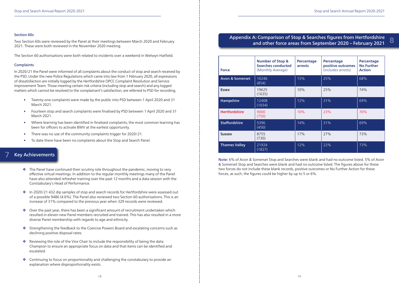7

#### Section 60s

Two Section 60s were reviewed by the Panel at their meetings between March 2020 and February 2021. These were both reviewed in the November 2020 meeting.

The Section 60 authorisations were both related to incidents over a weekend in Welwyn Hatfield.

#### **Complaints**

In 2020/21 the Panel were informed of all complaints about the conduct of stop and search received by the PSD. Under the new Police Regulations which came into law from 1 February 2020, all expressions of dissatisfaction are initially logged by the Hertfordshire OPCC Complaint Resolution and Service Improvement Team. Those meeting certain risk criteria (including stop and search) and any logged matters which cannot be resolved to the complainant's satisfaction, are referred to PSD for recording.

- Twenty-one complaints were made by the public into PSD between 1 April 2020 and 31 March 2021.
- Fourteen stop and search complaints were finalised by PSD between 1 April 2020 and 31 March 2021.
- Where learning has been identified in finalised complaints, the most common learning has been for officers to activate BWV at the earliest opportunity.
- There was no use of the community complaints trigger for 2020/21.
- To date there have been no complaints about the Stop and Search Panel.

- $\triangle$  The Panel have continued their scrutiny role throughout the pandemic, moving to very effective virtual meetings. In addition to the regular monthly meetings many of the Panel have also attended refresher training over the past 12 months and a data session with the Constabulary's Head of Performance.
- \* In 2020/21 432 dip samples of stop and search records for Hertfordshire were assessed out of a possible 9486 (4.6%). The Panel also reviewed two Section 60 authorisations. This is an increase of 31% compared to the previous year when 329 records were reviewed.
- $\triangleq$  Over the past year, there has been a significant amount of recruitment undertaken which resulted in eleven new Panel members recruited and trained. This has also resulted in a more diverse Panel membership with regards to age and ethnicity.
- v Strengthening the feedback to the Coercive Powers Board and escalating concerns such as declining positive disposal rates.
- $\triangleq$  Reviewing the role of the Vice Chair to include the responsibility of being the data Champion to ensure an appropriate focus on data and that items can be identified and escalated.
- $\triangleq$  Continuing to focus on proportionality and challenging the constabulary to provide an explanation where disproportionality exists.

### Key Achievements

| <b>Force</b>               | <b>Number of Stop &amp;</b><br><b>Searches conducted</b><br>(Monthly Average) | <b>Percentage</b><br>arrests | <b>Percentage</b><br>positive outcomes<br>(includes arrests) | Percentage<br><b>No Further</b><br><b>Action</b> |
|----------------------------|-------------------------------------------------------------------------------|------------------------------|--------------------------------------------------------------|--------------------------------------------------|
| <b>Avon &amp; Somerset</b> | 10246<br>(854)                                                                | 15%                          | 25%                                                          | 68%                                              |
| <b>Essex</b>               | 19625<br>(1635)                                                               | 10%                          | 25%                                                          | 74%                                              |
| Hampshire                  | 12408<br>(1034)                                                               | 12%                          | 31%                                                          | 69%                                              |
| <b>Hertfordshire</b>       | 9000<br>(750)                                                                 | 10%                          | 23%                                                          | 76%                                              |
| <b>Staffordshire</b>       | 5396<br>(450)                                                                 | 14%                          | 31%                                                          | 69%                                              |
| <b>Sussex</b>              | 8755<br>(730)                                                                 | 17%                          | 27%                                                          | 73%                                              |
| <b>Thames Valley</b>       | 21924<br>(1827)                                                               | 12%                          | 22%                                                          | 73%                                              |

Note: 6% of Avon & Somerset Stop and Searches were blank and had no outcome listed. 5% of Avon & Somerset Stop and Searches were blank and had no outcome listed. The figures above for these two forces do not include these blank records, positive outcomes or No Further Action for these forces, as such, the figures could be higher by up to 5 or 6%.

### 8 Appendix A: Comparison of Stop & Searches figures from Hertfordshire and other force areas from September 2020 – February 2021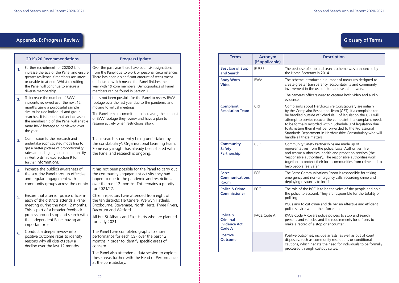### Appendix B: Progress Review **Contract Act and Service Contract Act and Service Contract Act and Service Contract Act of Terms**

| 2019/20 Recommendations |                                                                                                                                                                                                                                                                                             | <b>Progress Update</b>                                                                                                                                                                                                                                                                                        |
|-------------------------|---------------------------------------------------------------------------------------------------------------------------------------------------------------------------------------------------------------------------------------------------------------------------------------------|---------------------------------------------------------------------------------------------------------------------------------------------------------------------------------------------------------------------------------------------------------------------------------------------------------------|
| 1.                      | Further recruitment for 2020/21, to<br>increase the size of the Panel and ensure<br>greater resilience if members are unwell<br>or unable to attend. Whilst recruiting<br>the Panel will continue to ensure a<br>diverse membership.                                                        | Over the past year there have been six resignations<br>from the Panel due to work or personal circumstances.<br>There has been a significant amount of recruitment<br>undertaken which means the Panel finishes the<br>year with 19 core members. Demographics of Panel<br>members can be found in Section 7. |
| 2.                      | To increase the number of BWV<br>incidents reviewed over the next 12<br>months using a purposeful sample<br>size to include individual and group<br>searches. It is hoped that an increase in<br>the membership of the Panel will enable<br>more BWV footage to be viewed over<br>the year. | It has not been possible for the Panel to review BWV<br>footage over the last year due to the pandemic and<br>moving to virtual meetings.<br>The Panel remain committed to increasing the amount<br>of BWV footage they review and have a plan to<br>resume activity when restrictions allow.                 |
| 3.                      | Commission further research and<br>undertake sophisticated modelling to<br>get a better picture of proportionality<br>rates around age, gender and ethnicity<br>in Hertfordshire (see Section 9 for<br>further information).                                                                | This research is currently being undertaken by<br>the constabulary's Organisational Learning team.<br>Some early insight has already been shared with<br>the Panel and research is ongoing.                                                                                                                   |
| 4.                      | Increase the public's awareness of<br>the scrutiny Panel through effective<br>and regular engagement with<br>community groups across the county.                                                                                                                                            | It has not been possible for the Panel to carry out<br>the community engagement activity they had<br>hoped to due to the pandemic and restrictions<br>over the past 12 months. This remains a priority<br>for 2021/22.                                                                                        |
| 5.                      | Ensure that a senior police officer in<br>each of the districts attends a Panel<br>meeting during the next 12 months.<br>This is part of a broader feedback<br>process around stop and search with<br>the independent Panel having an<br>important role.                                    | Chief inspectors have attended from eight of<br>the ten districts; Hertsmere, Welwyn Hatfield,<br>Broxbourne, Stevenage, North Herts, Three Rivers,<br>Dacorum and Watford.<br>All but St Albans and East Herts who are planned<br>for early 2021.                                                            |
| 6.                      | Conduct a deeper review into<br>positive outcome rates to identify<br>reasons why all districts saw a<br>decline over the last 12 months.                                                                                                                                                   | The Panel have completed graphs to show<br>performance for each CSP over the past 12<br>months in order to identify specific areas of<br>concern.                                                                                                                                                             |
|                         |                                                                                                                                                                                                                                                                                             | The Panel also attended a data session to explore<br>these areas further with the Head of Performance<br>at the constabulary.                                                                                                                                                                                 |

| <b>Terms</b>                                                        | <b>Acronym</b><br>(if applicable) |                                                                                                                     |
|---------------------------------------------------------------------|-----------------------------------|---------------------------------------------------------------------------------------------------------------------|
| <b>Best Use of Stop</b><br>and Search                               | <b>BUSSS</b>                      | The best us<br>the Home 9                                                                                           |
| <b>Body Worn</b><br><b>Video</b>                                    | <b>BWV</b>                        | The scheme<br>create grea<br>involvemen                                                                             |
|                                                                     |                                   | The camera<br>evidence.                                                                                             |
| <b>Complaint</b><br><b>Resolution Team</b>                          | <b>CRT</b>                        | Complaints<br>by the Com<br>be handled<br>attempt to<br>to be forma<br>to its nature<br>Standards D<br>handle all t |
| <b>Community</b><br><b>Safety</b><br>Partnership                    | CSP                               | Community<br>representat<br>and rescue<br>'responsible<br>together to<br>help people                                |
| <b>Force</b><br><b>Communications</b><br><b>Room</b>                | <b>FCR</b>                        | The Force C<br>emergency<br>deploying r                                                                             |
| <b>Police &amp; Crime</b><br><b>Commissioner</b>                    | PCC                               | The role of<br>the police t<br>policing.                                                                            |
|                                                                     |                                   | PCCs aim to<br>police servi                                                                                         |
| Police &<br><b>Criminal</b><br><b>Evidence Act</b><br><b>Code A</b> | PACE Code A                       | <b>PACE Code</b><br>persons and<br>make a reco                                                                      |
| <b>Positive</b><br><b>Outcome</b>                                   |                                   | Positive out<br>disposals, s<br>cautions, w<br>processed t                                                          |

#### **Description**

se of stop and search scheme was announced by Secretary in 2014.

e introduced a number of measures designed to ater transparency, accountability and community it in the use of stop and search powers.

as officers wear to capture both video and audio

about Hertfordshire Constabulary are initially mplaint Resolution Team (CRT). If a complaint can outside of Schedule 3 of legislation the CRT will service recover the complaint. If a complaint needs ally recorded within Schedule 3 of legislation due re then it will be forwarded to the Professional Department in Hertfordshire Constabulary who will these matters.

y Safety Partnerships are made up of tives from the police, Local Authorities, fire authorities, health and probation services (the e authorities'). The responsible authorities work protect their local communities from crime and to e feel safer.

Communications Room is responsible for taking and non-emergency calls, recording crime and resources to incidents

 $F$  the PCC is to be the voice of the people and hold to account. They are responsible for the totality of

to cut crime and deliver an effective and efficient ice within their force area.

A covers police powers to stop and search d vehicles and the requirements for officers to ord of a stop or encounter.

tcomes, include arrests, as well as out of court such as community resolutions or conditional vhich negate the need for individuals to be formally through custody suites.